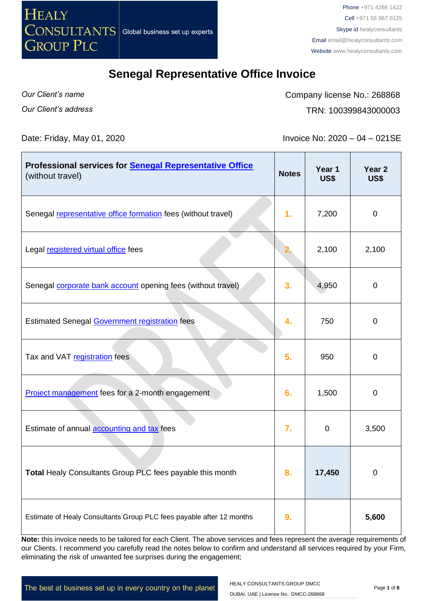

*Our Client's name Our Client's address* Company license No.: 268868 TRN: 100399843000003

Date: Friday, May 01, 2020 **Invoice No: 2020** – 04 – 021SE

| Professional services for <b>Senegal Representative Office</b><br>(without travel) | <b>Notes</b> | Year 1<br><b>US\$</b> | Year <sub>2</sub><br><b>US\$</b> |
|------------------------------------------------------------------------------------|--------------|-----------------------|----------------------------------|
| Senegal representative office formation fees (without travel)                      | 1.           | 7,200                 | $\mathbf 0$                      |
| Legal registered virtual office fees                                               |              | 2,100                 | 2,100                            |
| Senegal <b>corporate bank account</b> opening fees (without travel)                | 3.           | 4,950                 | $\boldsymbol{0}$                 |
| <b>Estimated Senegal Government registration fees</b>                              | 4.           | 750                   | $\mathbf 0$                      |
| Tax and VAT registration fees                                                      | 5.           | 950                   | $\pmb{0}$                        |
| Project management fees for a 2-month engagement                                   | 6.           | 1,500                 | $\mathbf 0$                      |
| Estimate of annual accounting and tax fees                                         | 7.           | 0                     | 3,500                            |
| Total Healy Consultants Group PLC fees payable this month                          | 8.           | 17,450                | 0                                |
| Estimate of Healy Consultants Group PLC fees payable after 12 months               | 9.           |                       | 5,600                            |

**Note:** this invoice needs to be tailored for each Client. The above services and fees represent the average requirements of our Clients. I recommend you carefully read the notes below to confirm and understand all services required by your Firm, eliminating the risk of unwanted fee surprises during the engagement;

The best at business set up in every country on the planet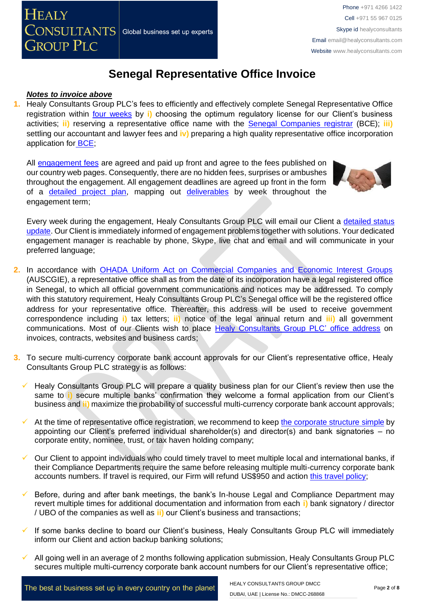#### *Notes to invoice above*

**1.** Healy Consultants Group PLC's fees to efficiently and effectively complete Senegal Representative Office registration within [four weeks](http://www.healyconsultants.com/senegal-company-registration/fees-timelines/) by **i)** choosing the optimum regulatory license for our Client's business activities; **ii)** reserving a representative office name with the [Senegal Companies registrar](http://creationdentreprise.sn/les-formalites-de-creation) (BCE); **iii)** settling our accountant and lawyer fees and **iv)** preparing a high quality representative office incorporation application for [BCE;](http://creationdentreprise.sn/les-formalites-de-creation)

All [engagement fees](http://www.healyconsultants.com/company-registration-fees/) are agreed and paid up front and agree to the fees published on our country web pages. Consequently, there are no hidden fees, surprises or ambushes throughout the engagement. All engagement deadlines are agreed up front in the form of a [detailed project plan,](http://www.healyconsultants.com/index-important-links/example-project-plan/) mapping out [deliverables](http://www.healyconsultants.com/deliverables-to-our-clients/) by week throughout the engagement term;



Every week during the engagement, Healy Consultants Group PLC will email our Client a detailed status [update.](http://www.healyconsultants.com/index-important-links/weekly-engagement-status-email/) Our Client is immediately informed of engagement problems together with solutions. Your dedicated engagement manager is reachable by phone, Skype, live chat and email and will communicate in your preferred language;

- **2.** In accordance with [OHADA Uniform Act on Commercial Companies and Economic Interest Groups](http://www.ohadalegis.com/anglais/tableaustescomgb1.htm) (AUSCGIE), a representative office shall as from the date of its incorporation have a legal registered office in Senegal, to which all official government communications and notices may be addressed. To comply with this statutory requirement, Healy Consultants Group PLC's Senegal office will be the registered office address for your representative office. Thereafter, this address will be used to receive government correspondence including **i)** tax letters; **ii)** notice of the legal annual return and **iii)** all government communications. Most of our Clients wish to place [Healy Consultants Group PLC'](http://www.healyconsultants.com/corporate-outsourcing-services/company-secretary-and-legal-registered-office/) office address on invoices, contracts, websites and business cards;
- **3.** To secure multi-currency corporate bank account approvals for our Client's representative office, Healy Consultants Group PLC strategy is as follows:
	- Healy Consultants Group PLC will prepare a quality business plan for our Client's review then use the same to **i**) secure multiple banks' confirmation they welcome a formal application from our Client's business and **ii)** maximize the probability of successful multi-currency corporate bank account approvals;
	- At the time of representative office registration, we recommend to keep [the corporate structure](https://www.healyconsultants.com/about-us/complex-client-engagements/simplify-business-setup/) simple by appointing our Client's preferred individual shareholder(s) and director(s) and bank signatories – no corporate entity, nominee, trust, or tax haven holding company;
	- Our Client to appoint individuals who could timely travel to meet multiple local and international banks, if their Compliance Departments require the same before releasing multiple multi-currency corporate bank accounts numbers. If travel is required, our Firm will refund US\$950 and action [this travel policy;](https://www.healyconsultants.com/index-important-links/clients-travel-engagement/)
	- Before, during and after bank meetings, the bank's In-house Legal and Compliance Department may revert multiple times for additional documentation and information from each **i)** bank signatory / director / UBO of the companies as well as **ii)** our Client's business and transactions;
	- If some banks decline to board our Client's business, Healy Consultants Group PLC will immediately inform our Client and action backup banking solutions;
	- All going well in an average of 2 months following application submission, Healy Consultants Group PLC secures multiple multi-currency corporate bank account numbers for our Client's representative office;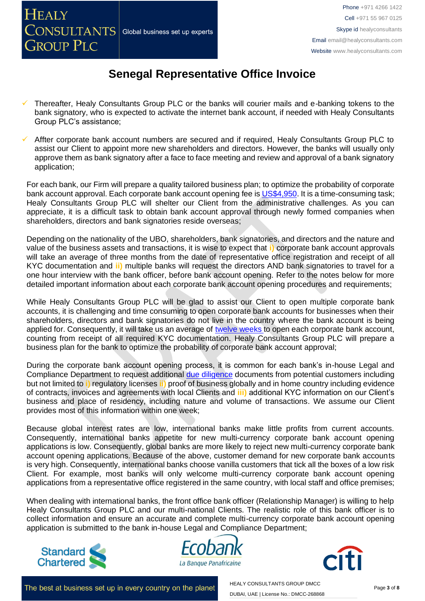- Thereafter, Healy Consultants Group PLC or the banks will courier mails and e-banking tokens to the bank signatory, who is expected to activate the internet bank account, if needed with Healy Consultants Group PLC's assistance;
- Affter corporate bank account numbers are secured and if required, Healy Consultants Group PLC to assist our Client to appoint more new shareholders and directors. However, the banks will usually only approve them as bank signatory after a face to face meeting and review and approval of a bank signatory application;

For each bank, our Firm will prepare a quality tailored business plan; to optimize the probability of corporate bank account approval. Each corporate bank account opening fee is [US\\$4,950.](https://www.healyconsultants.com/global-corporate-banking-for-resident-company/) It is a time-consuming task; Healy Consultants Group PLC will shelter our Client from the administrative challenges. As you can appreciate, it is a difficult task to obtain bank account approval through newly formed companies when shareholders, directors and bank signatories reside overseas;

Depending on the nationality of the UBO, shareholders, bank signatories, and directors and the nature and value of the business assets and transactions, it is wise to expect that **i)** corporate bank account approvals will take an average of three months from the date of representative office registration and receipt of all KYC documentation and **ii)** multiple banks will request the directors AND bank signatories to travel for a one hour interview with the bank officer, before bank account opening. Refer to the notes below for more detailed important information about each corporate bank account opening procedures and requirements;

While Healy Consultants Group PLC will be glad to assist our Client to open multiple corporate bank accounts, it is challenging and time consuming to open corporate bank accounts for businesses when their shareholders, directors and bank signatories do not live in the country where the bank account is being applied for. Consequently, it will take us an average of [twelve weeks](http://www.healyconsultants.com/international-banking/bitcoin-business-bank-account/) to open each corporate bank account, counting from receipt of all required KYC documentation. Healy Consultants Group PLC will prepare a business plan for the bank to optimize the probability of corporate bank account approval;

During the corporate bank account opening process, it is common for each bank's in-house Legal and Compliance Department to request additional [due diligence](http://www.healyconsultants.com/due-diligence/) documents from potential customers including but not limited to **i)** regulatory licenses **ii)** proof of business globally and in home country including evidence of contracts, invoices and agreements with local Clients and **iii)** additional KYC information on our Client's business and place of residency, including nature and volume of transactions. We assume our Client provides most of this information within one week;

Because global interest rates are low, international banks make little profits from current accounts. Consequently, international banks appetite for new multi-currency corporate bank account opening applications is low. Consequently, global banks are more likely to reject new multi-currency corporate bank account opening applications. Because of the above, customer demand for new corporate bank accounts is very high. Consequently, international banks choose vanilla customers that tick all the boxes of a low risk Client. For example, most banks will only welcome multi-currency corporate bank account opening applications from a representative office registered in the same country, with local staff and office premises;

When dealing with international banks, the front office bank officer (Relationship Manager) is willing to help Healy Consultants Group PLC and our multi-national Clients. The realistic role of this bank officer is to collect information and ensure an accurate and complete multi-currency corporate bank account opening application is submitted to the bank in-house Legal and Compliance Department;







The best at business set up in every country on the planet

HEALY CONSULTANTS GROUP DMCC DUBAI, UAE | License No.: DMCC-268868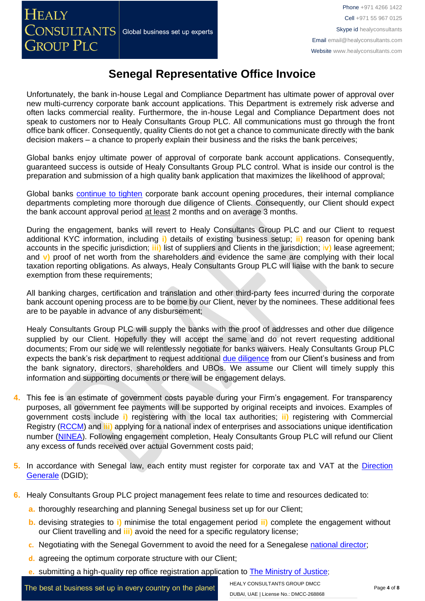Unfortunately, the bank in-house Legal and Compliance Department has ultimate power of approval over new multi-currency corporate bank account applications. This Department is extremely risk adverse and often lacks commercial reality. Furthermore, the in-house Legal and Compliance Department does not speak to customers nor to Healy Consultants Group PLC. All communications must go through the front office bank officer. Consequently, quality Clients do not get a chance to communicate directly with the bank decision makers – a chance to properly explain their business and the risks the bank perceives;

Global banks enjoy ultimate power of approval of corporate bank account applications. Consequently, guaranteed success is outside of Healy Consultants Group PLC control. What is inside our control is the preparation and submission of a high quality bank application that maximizes the likelihood of approval;

Global banks [continue to tighten](https://www.healyconsultants.com/international-banking/opening-corporate-bank-accounts/) corporate bank account opening procedures, their internal compliance departments completing more thorough due diligence of Clients. Consequently, our Client should expect the bank account approval period at least 2 months and on average 3 months.

During the engagement, banks will revert to Healy Consultants Group PLC and our Client to request additional KYC information, including **i)** details of existing business setup; **ii)** reason for opening bank accounts in the specific jurisdiction; **iii)** list of suppliers and Clients in the jurisdiction; i**v)** lease agreement; and **v)** proof of net worth from the shareholders and evidence the same are complying with their local taxation reporting obligations. As always, Healy Consultants Group PLC will liaise with the bank to secure exemption from these requirements;

All banking charges, certification and translation and other third-party fees incurred during the corporate bank account opening process are to be borne by our Client, never by the nominees. These additional fees are to be payable in advance of any disbursement;

Healy Consultants Group PLC will supply the banks with the proof of addresses and other due diligence supplied by our Client. Hopefully they will accept the same and do not revert requesting additional documents; From our side we will relentlessly negotiate for banks waivers. Healy Consultants Group PLC expects the bank's risk department to request additional [due diligence](http://www.healyconsultants.com/due-diligence/) from our Client's business and from the bank signatory, directors, shareholders and UBOs. We assume our Client will timely supply this information and supporting documents or there will be engagement delays.

- **4.** This fee is an estimate of government costs payable during your Firm's engagement. For transparency purposes, all government fee payments will be supported by original receipts and invoices. Examples of government costs include **i)** registering with the local tax authorities; **ii)** registering with Commercial Registry [\(RCCM\)](http://www.servicepublic.gouv.sn/index.php/demarche_administrative/demarche/1/196) and **iii)** applying for a national index of enterprises and associations unique identification number [\(NINEA\)](http://www.impotsetdomaines.gouv.sn/fr/quest-ce-que-le-ninea). Following engagement completion, Healy Consultants Group PLC will refund our Client any excess of funds received over actual Government costs paid;
- **5.** In accordance with Senegal law, each entity must register for corporate tax and VAT at the [Direction](http://www.impotsetdomaines.gouv.sn/)  [Generale](http://www.impotsetdomaines.gouv.sn/) (DGID);
- **6.** Healy Consultants Group PLC project management fees relate to time and resources dedicated to:
	- **a.** thoroughly researching and planning Senegal business set up for our Client;
	- **b.** devising strategies to **i)** minimise the total engagement period **ii)** complete the engagement without our Client travelling and **iii)** avoid the need for a specific regulatory license;
	- **c.** Negotiating with the Senegal Government to avoid the need for a Senegalese national [director;](http://www.healyconsultants.com/corporate-advisory-services/nominee-shareholders-directors/national-shareholder-services/)
	- **d.** agreeing the optimum corporate structure with our Client;
	- **e.** submitting a high-quality rep office registration application to **[The Ministry of Justice](http://seninfogreffe.com/)**;

The best at business set up in every country on the planet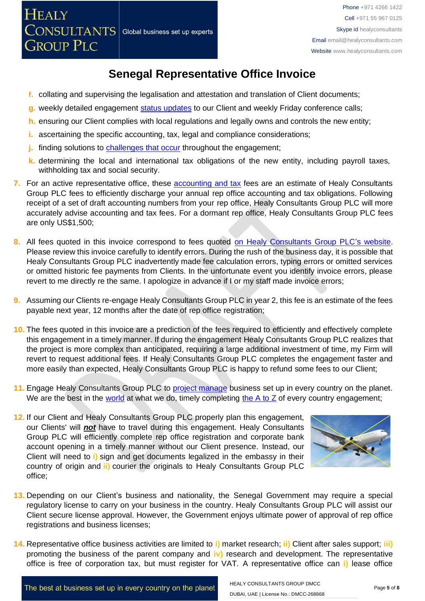- **f.** collating and supervising the legalisation and attestation and translation of Client documents;
- **g.** weekly detailed engagement [status updates](http://www.healyconsultants.com/index-important-links/weekly-engagement-status-email/) to our Client and weekly Friday conference calls;
- **h.** ensuring our Client complies with local regulations and legally owns and controls the new entity;
- **i.** ascertaining the specific accounting, tax, legal and compliance considerations;
- **j.** finding solutions to [challenges that occur](http://www.healyconsultants.com/engagement-project-management/) throughout the engagement;
- **k.** determining the local and international tax obligations of the new entity, including payroll taxes, withholding tax and social security.
- **7.** For an active representative office, these [accounting and tax](http://www.healyconsultants.com/senegal-company-registration/accounting-legal/) fees are an estimate of Healy Consultants Group PLC fees to efficiently discharge your annual rep office accounting and tax obligations. Following receipt of a set of draft accounting numbers from your rep office, Healy Consultants Group PLC will more accurately advise accounting and tax fees. For a dormant rep office, Healy Consultants Group PLC fees are only US\$1,500;
- **8.** All fees quoted in this invoice correspond to fees quoted [on Healy Consultants Group PLC's](http://www.healyconsultants.com/company-registration-fees/) website. Please review this invoice carefully to identify errors. During the rush of the business day, it is possible that Healy Consultants Group PLC inadvertently made fee calculation errors, typing errors or omitted services or omitted historic fee payments from Clients. In the unfortunate event you identify invoice errors, please revert to me directly re the same. I apologize in advance if I or my staff made invoice errors;
- **9.** Assuming our Clients re-engage Healy Consultants Group PLC in year 2, this fee is an estimate of the fees payable next year, 12 months after the date of rep office registration;
- **10.** The fees quoted in this invoice are a prediction of the fees required to efficiently and effectively complete this engagement in a timely manner. If during the engagement Healy Consultants Group PLC realizes that the project is more complex than anticipated, requiring a large additional investment of time, my Firm will revert to request additional fees. If Healy Consultants Group PLC completes the engagement faster and more easily than expected, Healy Consultants Group PLC is happy to refund some fees to our Client;
- **11.** Engage Healy Consultants Group PLC to [project manage](http://www.healyconsultants.com/project-manage-engagements/) business set up in every country on the planet. We are the best in the [world](http://www.healyconsultants.com/best-in-the-world/) at what we do, timely completing the  $A$  to  $Z$  of every country engagement;
- **12.** If our Client and Healy Consultants Group PLC properly plan this engagement, our Clients' will *not* have to travel during this engagement. Healy Consultants Group PLC will efficiently complete rep office registration and corporate bank account opening in a timely manner without our Client presence. Instead, our Client will need to **i)** sign and get documents legalized in the embassy in their country of origin and **ii)** courier the originals to Healy Consultants Group PLC office;



- **13.** Depending on our Client's business and nationality, the Senegal Government may require a special regulatory license to carry on your business in the country. Healy Consultants Group PLC will assist our Client secure license approval. However, the Government enjoys ultimate power of approval of rep office registrations and business licenses;
- **14.** Representative office business activities are limited to **i)** market research; **ii)** Client after sales support; **iii)** promoting the business of the parent company and **iv)** research and development. The representative office is free of corporation tax, but must register for VAT. A representative office can **i)** lease office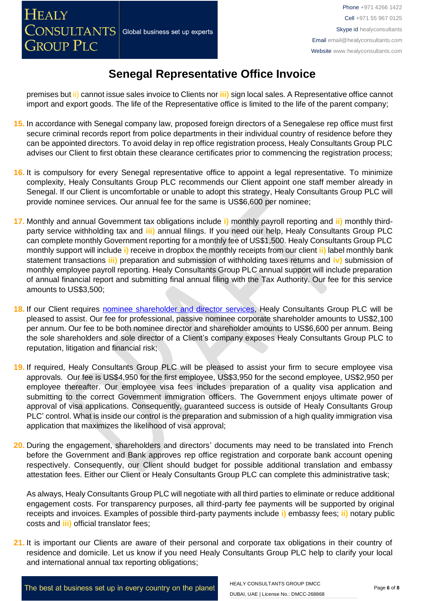premises but ii) cannot issue sales invoice to Clients nor **iii)** sign local sales. A Representative office cannot import and export goods. The life of the Representative office is limited to the life of the parent company;

- **15.** In accordance with Senegal company law, proposed foreign directors of a Senegalese rep office must first secure criminal records report from police departments in their individual country of residence before they can be appointed directors. To avoid delay in rep office registration process, Healy Consultants Group PLC advises our Client to first obtain these clearance certificates prior to commencing the registration process;
- **16.** It is compulsory for every Senegal representative office to appoint a legal representative. To minimize complexity, Healy Consultants Group PLC recommends our Client appoint one staff member already in Senegal. If our Client is uncomfortable or unable to adopt this strategy, Healy Consultants Group PLC will provide nominee services. Our annual fee for the same is US\$6,600 per nominee;
- **17.** Monthly and annual Government tax obligations include **i)** monthly payroll reporting and **ii)** monthly thirdparty service withholding tax and **iii)** annual filings. If you need our help, Healy Consultants Group PLC can complete monthly Government reporting for a monthly fee of US\$1,500. Healy Consultants Group PLC monthly support will include **i)** receive in dropbox the monthly receipts from our client **ii)** label monthly bank statement transactions **iii)** preparation and submission of withholding taxes returns and **iv)** submission of monthly employee payroll reporting. Healy Consultants Group PLC annual support will include preparation of annual financial report and submitting final annual filing with the Tax Authority. Our fee for this service amounts to US\$3,500;
- 18. If our Client requires [nominee shareholder and director services,](http://www.healyconsultants.com/corporate-outsourcing-services/nominee-shareholders-directors/) Healy Consultants Group PLC will be pleased to assist. Our fee for professional, passive nominee corporate shareholder amounts to US\$2,100 per annum. Our fee to be both nominee director and shareholder amounts to US\$6,600 per annum. Being the sole shareholders and sole director of a Client's company exposes Healy Consultants Group PLC to reputation, litigation and financial risk;
- **19.** If required, Healy Consultants Group PLC will be pleased to assist your firm to secure employee visa approvals. Our fee is US\$4,950 for the first employee, US\$3,950 for the second employee, US\$2,950 per employee thereafter. Our employee visa fees includes preparation of a quality visa application and submitting to the correct Government immigration officers. The Government enjoys ultimate power of approval of visa applications. Consequently, guaranteed success is outside of Healy Consultants Group PLC' control. What is inside our control is the preparation and submission of a high quality immigration visa application that maximizes the likelihood of visa approval;
- **20.** During the engagement, shareholders and directors' documents may need to be translated into French before the Government and Bank approves rep office registration and corporate bank account opening respectively. Consequently, our Client should budget for possible additional translation and embassy attestation fees. Either our Client or Healy Consultants Group PLC can complete this administrative task;

As always, Healy Consultants Group PLC will negotiate with all third parties to eliminate or reduce additional engagement costs. For transparency purposes, all third-party fee payments will be supported by original receipts and invoices. Examples of possible third-party payments include **i)** embassy fees; **ii)** notary public costs and **iii)** official translator fees;

**21.** It is important our Clients are aware of their personal and corporate tax obligations in their country of residence and domicile. Let us know if you need Healy Consultants Group PLC help to clarify your local and international annual tax reporting obligations;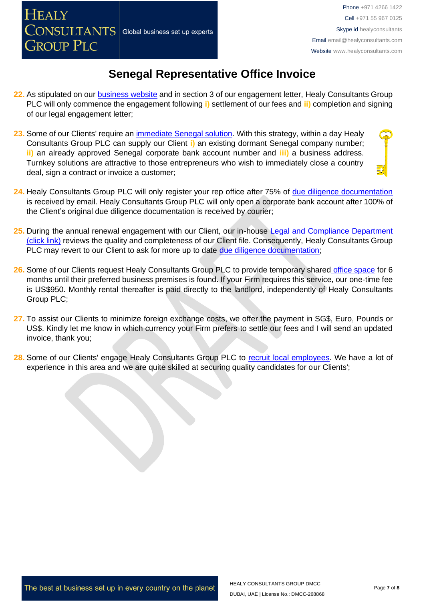**HEALY** 

# **Senegal Representative Office Invoice**

- **22.** As stipulated on our **business website** and in section 3 of our engagement letter, Healy Consultants Group PLC will only commence the engagement following **i)** settlement of our fees and **ii)** completion and signing of our legal engagement letter;
- **23.** Some of our Clients' require an [immediate Senegal](http://www.healyconsultants.com/turnkey-solutions/) solution. With this strategy, within a day Healy Consultants Group PLC can supply our Client **i)** an existing dormant Senegal company number; **ii)** an already approved Senegal corporate bank account number and **iii)** a business address. Turnkey solutions are attractive to those entrepreneurs who wish to immediately close a country deal, sign a contract or invoice a customer;
- **24.** Healy Consultants Group PLC will only register your rep office after 75% of [due diligence documentation](http://www.healyconsultants.com/due-diligence/) is received by email. Healy Consultants Group PLC will only open a corporate bank account after 100% of the Client's original due diligence documentation is received by courier;
- 25. During the annual renewal engagement with our Client, our in-house Legal and Compliance Department [\(click link\)](http://www.healyconsultants.com/about-us/key-personnel/cai-xin-profile/) reviews the quality and completeness of our Client file. Consequently, Healy Consultants Group PLC may revert to our Client to ask for more up to date [due diligence documentation;](http://www.healyconsultants.com/due-diligence/)
- **26.** Some of our Clients request Healy Consultants Group PLC to provide temporary shared [office space](http://www.healyconsultants.com/virtual-office/) for 6 months until their preferred business premises is found. If your Firm requires this service, our one-time fee is US\$950. Monthly rental thereafter is paid directly to the landlord, independently of Healy Consultants Group PLC;
- **27.** To assist our Clients to minimize foreign exchange costs, we offer the payment in SG\$, Euro, Pounds or US\$. Kindly let me know in which currency your Firm prefers to settle our fees and I will send an updated invoice, thank you;
- 28. Some of our Clients' engage Healy Consultants Group PLC to [recruit local employees.](http://www.healyconsultants.com/corporate-outsourcing-services/how-we-help-our-clients-recruit-quality-employees/) We have a lot of experience in this area and we are quite skilled at securing quality candidates for our Clients';